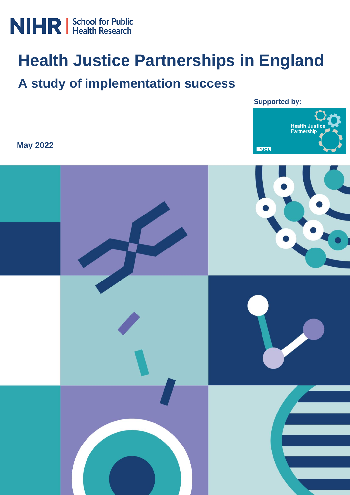

# **Health Justice Partnerships in England**

# **A study of implementation success**

**Supported by:Health Just**<br>Partnership **ENGL** 

**May 2022**

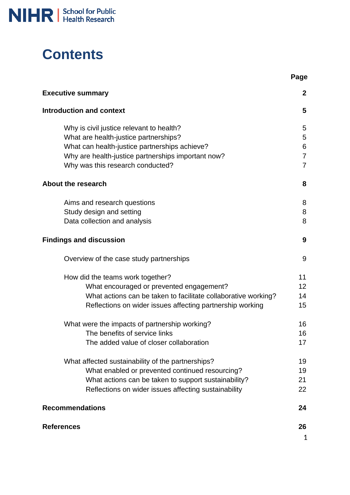

# **Contents**

|                                                                | Page           |
|----------------------------------------------------------------|----------------|
| <b>Executive summary</b>                                       | $\mathbf{2}$   |
| <b>Introduction and context</b>                                | 5              |
| Why is civil justice relevant to health?                       | 5              |
| What are health-justice partnerships?                          | 5              |
| What can health-justice partnerships achieve?                  | 6              |
| Why are health-justice partnerships important now?             | $\overline{7}$ |
| Why was this research conducted?                               | $\overline{7}$ |
| <b>About the research</b>                                      | 8              |
| Aims and research questions                                    | 8              |
| Study design and setting                                       | 8              |
| Data collection and analysis                                   | 8              |
| <b>Findings and discussion</b>                                 | 9              |
| Overview of the case study partnerships                        | 9              |
| How did the teams work together?                               | 11             |
| What encouraged or prevented engagement?                       | 12             |
| What actions can be taken to facilitate collaborative working? | 14             |
| Reflections on wider issues affecting partnership working      | 15             |
| What were the impacts of partnership working?                  | 16             |
| The benefits of service links                                  | 16             |
| The added value of closer collaboration                        | 17             |
| What affected sustainability of the partnerships?              | 19             |
| What enabled or prevented continued resourcing?                | 19             |
| What actions can be taken to support sustainability?           | 21             |
| Reflections on wider issues affecting sustainability           | 22             |
| <b>Recommendations</b>                                         | 24             |
| <b>References</b>                                              | 26             |
|                                                                | 1              |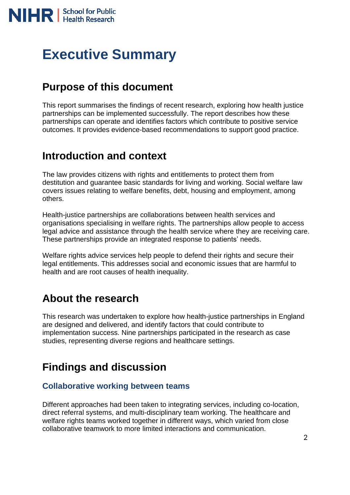

# **Executive Summary**

# **Purpose of this document**

This report summarises the findings of recent research, exploring how health justice partnerships can be implemented successfully. The report describes how these partnerships can operate and identifies factors which contribute to positive service outcomes. It provides evidence-based recommendations to support good practice.

# **Introduction and context**

The law provides citizens with rights and entitlements to protect them from destitution and guarantee basic standards for living and working. Social welfare law covers issues relating to welfare benefits, debt, housing and employment, among others.

Health-justice partnerships are collaborations between health services and organisations specialising in welfare rights. The partnerships allow people to access legal advice and assistance through the health service where they are receiving care. These partnerships provide an integrated response to patients' needs.

Welfare rights advice services help people to defend their rights and secure their legal entitlements. This addresses social and economic issues that are harmful to health and are root causes of health inequality.

# **About the research**

This research was undertaken to explore how health-justice partnerships in England are designed and delivered, and identify factors that could contribute to implementation success. Nine partnerships participated in the research as case studies, representing diverse regions and healthcare settings.

# **Findings and discussion**

# **Collaborative working between teams**

Different approaches had been taken to integrating services, including co-location, direct referral systems, and multi-disciplinary team working. The healthcare and welfare rights teams worked together in different ways, which varied from close collaborative teamwork to more limited interactions and communication.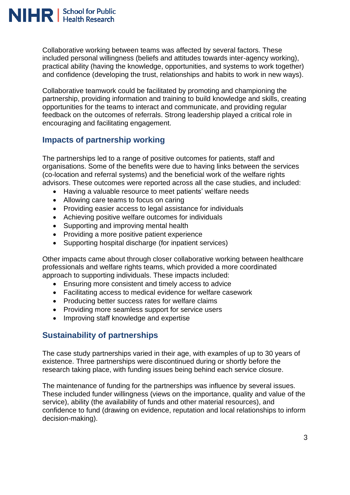

Collaborative working between teams was affected by several factors. These included personal willingness (beliefs and attitudes towards inter-agency working), practical ability (having the knowledge, opportunities, and systems to work together) and confidence (developing the trust, relationships and habits to work in new ways).

Collaborative teamwork could be facilitated by promoting and championing the partnership, providing information and training to build knowledge and skills, creating opportunities for the teams to interact and communicate, and providing regular feedback on the outcomes of referrals. Strong leadership played a critical role in encouraging and facilitating engagement.

# **Impacts of partnership working**

The partnerships led to a range of positive outcomes for patients, staff and organisations. Some of the benefits were due to having links between the services (co-location and referral systems) and the beneficial work of the welfare rights advisors. These outcomes were reported across all the case studies, and included:

- Having a valuable resource to meet patients' welfare needs
- Allowing care teams to focus on caring
- Providing easier access to legal assistance for individuals
- Achieving positive welfare outcomes for individuals
- Supporting and improving mental health
- Providing a more positive patient experience
- Supporting hospital discharge (for inpatient services)

Other impacts came about through closer collaborative working between healthcare professionals and welfare rights teams, which provided a more coordinated approach to supporting individuals. These impacts included:

- Ensuring more consistent and timely access to advice
- Facilitating access to medical evidence for welfare casework
- Producing better success rates for welfare claims
- Providing more seamless support for service users
- Improving staff knowledge and expertise

# **Sustainability of partnerships**

The case study partnerships varied in their age, with examples of up to 30 years of existence. Three partnerships were discontinued during or shortly before the research taking place, with funding issues being behind each service closure.

The maintenance of funding for the partnerships was influence by several issues. These included funder willingness (views on the importance, quality and value of the service), ability (the availability of funds and other material resources), and confidence to fund (drawing on evidence, reputation and local relationships to inform decision-making).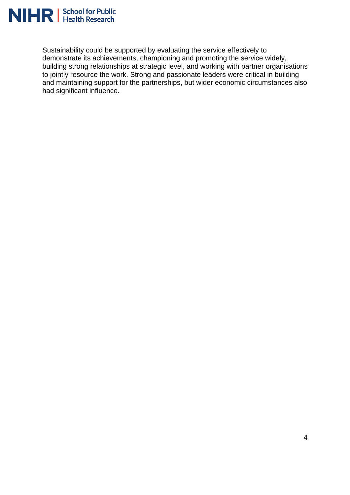

Sustainability could be supported by evaluating the service effectively to demonstrate its achievements, championing and promoting the service widely, building strong relationships at strategic level, and working with partner organisations to jointly resource the work. Strong and passionate leaders were critical in building and maintaining support for the partnerships, but wider economic circumstances also had significant influence.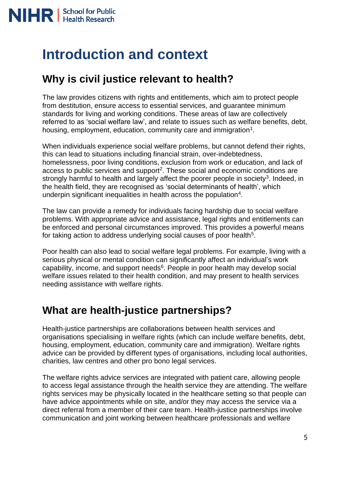# **Introduction and context**

# **Why is civil justice relevant to health?**

The law provides citizens with rights and entitlements, which aim to protect people from destitution, ensure access to essential services, and guarantee minimum standards for living and working conditions. These areas of law are collectively referred to as 'social welfare law', and relate to issues such as welfare benefits, debt, housing, employment, education, community care and immigration<sup>1</sup>.

When individuals experience social welfare problems, but cannot defend their rights, this can lead to situations including financial strain, over-indebtedness, homelessness, poor living conditions, exclusion from work or education, and lack of access to public services and support<sup>2</sup>. These social and economic conditions are strongly harmful to health and largely affect the poorer people in society<sup>3</sup>. Indeed, in the health field, they are recognised as 'social determinants of health', which underpin significant inequalities in health across the population<sup>4</sup>.

The law can provide a remedy for individuals facing hardship due to social welfare problems. With appropriate advice and assistance, legal rights and entitlements can be enforced and personal circumstances improved. This provides a powerful means for taking action to address underlying social causes of poor health $^5$ .

Poor health can also lead to social welfare legal problems. For example, living with a serious physical or mental condition can significantly affect an individual's work capability, income, and support needs<sup>6</sup>. People in poor health may develop social welfare issues related to their health condition, and may present to health services needing assistance with welfare rights.

# **What are health-justice partnerships?**

Health-justice partnerships are collaborations between health services and organisations specialising in welfare rights (which can include welfare benefits, debt, housing, employment, education, community care and immigration). Welfare rights advice can be provided by different types of organisations, including local authorities, charities, law centres and other pro bono legal services.

The welfare rights advice services are integrated with patient care, allowing people to access legal assistance through the health service they are attending. The welfare rights services may be physically located in the healthcare setting so that people can have advice appointments while on site, and/or they may access the service via a direct referral from a member of their care team. Health-justice partnerships involve communication and joint working between healthcare professionals and welfare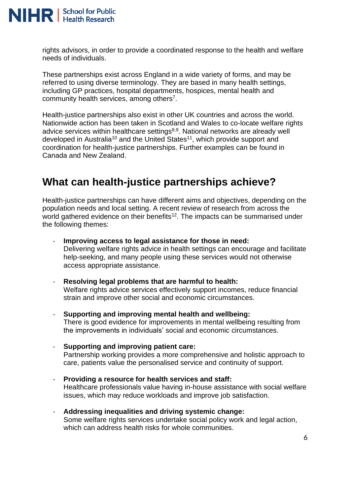

rights advisors, in order to provide a coordinated response to the health and welfare needs of individuals.

These partnerships exist across England in a wide variety of forms, and may be referred to using diverse terminology. They are based in many health settings, including GP practices, hospital departments, hospices, mental health and community health services, among others<sup>7</sup>.

Health-justice partnerships also exist in other UK countries and across the world. Nationwide action has been taken in Scotland and Wales to co-locate welfare rights advice services within healthcare settings<sup>8,9</sup>. National networks are already well developed in Australia<sup>10</sup> and the United States<sup>11</sup>, which provide support and coordination for health-justice partnerships. Further examples can be found in Canada and New Zealand.

# **What can health-justice partnerships achieve?**

Health-justice partnerships can have different aims and objectives, depending on the population needs and local setting. A recent review of research from across the world gathered evidence on their benefits<sup>12</sup>. The impacts can be summarised under the following themes:

- **Improving access to legal assistance for those in need:** Delivering welfare rights advice in health settings can encourage and facilitate help-seeking, and many people using these services would not otherwise access appropriate assistance.
- **Resolving legal problems that are harmful to health:** Welfare rights advice services effectively support incomes, reduce financial strain and improve other social and economic circumstances.
- **Supporting and improving mental health and wellbeing:** There is good evidence for improvements in mental wellbeing resulting from the improvements in individuals' social and economic circumstances.
- **Supporting and improving patient care:** Partnership working provides a more comprehensive and holistic approach to care, patients value the personalised service and continuity of support.
- **Providing a resource for health services and staff:** Healthcare professionals value having in-house assistance with social welfare issues, which may reduce workloads and improve job satisfaction.
- **Addressing inequalities and driving systemic change:** Some welfare rights services undertake social policy work and legal action, which can address health risks for whole communities.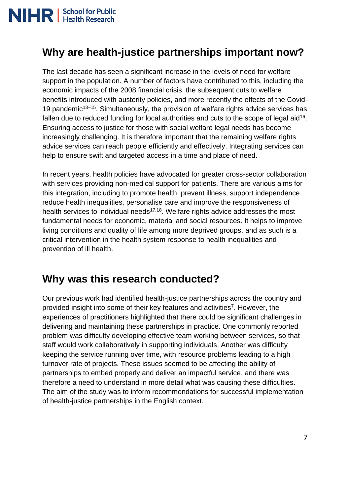# **Why are health-justice partnerships important now?**

The last decade has seen a significant increase in the levels of need for welfare support in the population. A number of factors have contributed to this, including the economic impacts of the 2008 financial crisis, the subsequent cuts to welfare benefits introduced with austerity policies, and more recently the effects of the Covid-19 pandemic<sup>13–15</sup>. Simultaneously, the provision of welfare rights advice services has fallen due to reduced funding for local authorities and cuts to the scope of legal aid<sup>16</sup>. Ensuring access to justice for those with social welfare legal needs has become increasingly challenging. It is therefore important that the remaining welfare rights advice services can reach people efficiently and effectively. Integrating services can help to ensure swift and targeted access in a time and place of need.

In recent years, health policies have advocated for greater cross-sector collaboration with services providing non-medical support for patients. There are various aims for this integration, including to promote health, prevent illness, support independence, reduce health inequalities, personalise care and improve the responsiveness of health services to individual needs $17,18$ . Welfare rights advice addresses the most fundamental needs for economic, material and social resources. It helps to improve living conditions and quality of life among more deprived groups, and as such is a critical intervention in the health system response to health inequalities and prevention of ill health.

# **Why was this research conducted?**

Our previous work had identified health-justice partnerships across the country and provided insight into some of their key features and activities<sup>7</sup>. However, the experiences of practitioners highlighted that there could be significant challenges in delivering and maintaining these partnerships in practice. One commonly reported problem was difficulty developing effective team working between services, so that staff would work collaboratively in supporting individuals. Another was difficulty keeping the service running over time, with resource problems leading to a high turnover rate of projects. These issues seemed to be affecting the ability of partnerships to embed properly and deliver an impactful service, and there was therefore a need to understand in more detail what was causing these difficulties. The aim of the study was to inform recommendations for successful implementation of health-justice partnerships in the English context.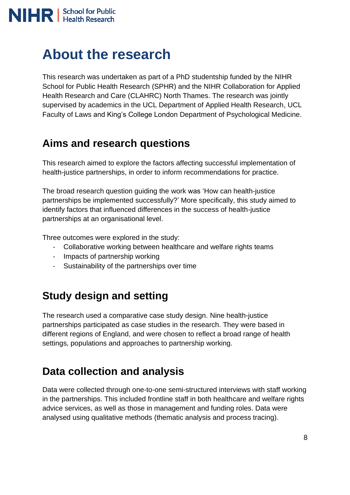# **About the research**

This research was undertaken as part of a PhD studentship funded by the NIHR School for Public Health Research (SPHR) and the NIHR Collaboration for Applied Health Research and Care (CLAHRC) North Thames. The research was jointly supervised by academics in the UCL Department of Applied Health Research, UCL Faculty of Laws and King's College London Department of Psychological Medicine.

# **Aims and research questions**

This research aimed to explore the factors affecting successful implementation of health-justice partnerships, in order to inform recommendations for practice.

The broad research question guiding the work was 'How can health-justice partnerships be implemented successfully?' More specifically, this study aimed to identify factors that influenced differences in the success of health-justice partnerships at an organisational level.

Three outcomes were explored in the study:

- Collaborative working between healthcare and welfare rights teams
- Impacts of partnership working
- Sustainability of the partnerships over time

# **Study design and setting**

The research used a comparative case study design. Nine health-justice partnerships participated as case studies in the research. They were based in different regions of England, and were chosen to reflect a broad range of health settings, populations and approaches to partnership working.

# **Data collection and analysis**

Data were collected through one-to-one semi-structured interviews with staff working in the partnerships. This included frontline staff in both healthcare and welfare rights advice services, as well as those in management and funding roles. Data were analysed using qualitative methods (thematic analysis and process tracing).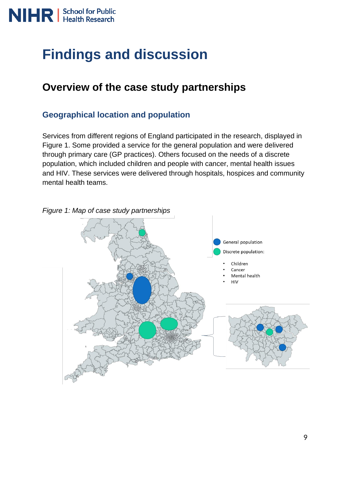

# **Findings and discussion**

# **Overview of the case study partnerships**

# **Geographical location and population**

Services from different regions of England participated in the research, displayed in Figure 1. Some provided a service for the general population and were delivered through primary care (GP practices). Others focused on the needs of a discrete population, which included children and people with cancer, mental health issues and HIV. These services were delivered through hospitals, hospices and community mental health teams.



*Figure 1: Map of case study partnerships*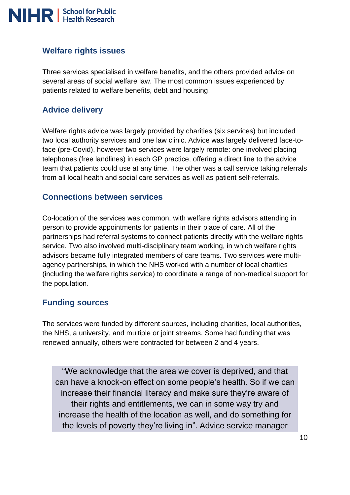

# **Welfare rights issues**

Three services specialised in welfare benefits, and the others provided advice on several areas of social welfare law. The most common issues experienced by patients related to welfare benefits, debt and housing.

## **Advice delivery**

Welfare rights advice was largely provided by charities (six services) but included two local authority services and one law clinic. Advice was largely delivered face-toface (pre-Covid), however two services were largely remote: one involved placing telephones (free landlines) in each GP practice, offering a direct line to the advice team that patients could use at any time. The other was a call service taking referrals from all local health and social care services as well as patient self-referrals.

## **Connections between services**

Co-location of the services was common, with welfare rights advisors attending in person to provide appointments for patients in their place of care. All of the partnerships had referral systems to connect patients directly with the welfare rights service. Two also involved multi-disciplinary team working, in which welfare rights advisors became fully integrated members of care teams. Two services were multiagency partnerships, in which the NHS worked with a number of local charities (including the welfare rights service) to coordinate a range of non-medical support for the population.

## **Funding sources**

The services were funded by different sources, including charities, local authorities, the NHS, a university, and multiple or joint streams. Some had funding that was renewed annually, others were contracted for between 2 and 4 years.

"We acknowledge that the area we cover is deprived, and that can have a knock-on effect on some people's health. So if we can increase their financial literacy and make sure they're aware of their rights and entitlements, we can in some way try and increase the health of the location as well, and do something for the levels of poverty they're living in". Advice service manager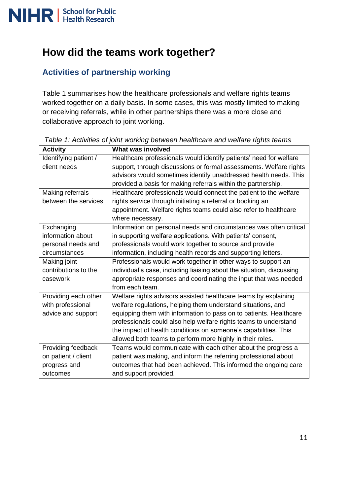

# **How did the teams work together?**

# **Activities of partnership working**

Table 1 summarises how the healthcare professionals and welfare rights teams worked together on a daily basis. In some cases, this was mostly limited to making or receiving referrals, while in other partnerships there was a more close and collaborative approach to joint working.

| <b>Activity</b>       | What was involved                                                     |
|-----------------------|-----------------------------------------------------------------------|
| Identifying patient / | Healthcare professionals would identify patients' need for welfare    |
| client needs          | support, through discussions or formal assessments. Welfare rights    |
|                       | advisors would sometimes identify unaddressed health needs. This      |
|                       | provided a basis for making referrals within the partnership.         |
| Making referrals      | Healthcare professionals would connect the patient to the welfare     |
| between the services  | rights service through initiating a referral or booking an            |
|                       | appointment. Welfare rights teams could also refer to healthcare      |
|                       | where necessary.                                                      |
| Exchanging            | Information on personal needs and circumstances was often critical    |
| information about     | in supporting welfare applications. With patients' consent,           |
| personal needs and    | professionals would work together to source and provide               |
| circumstances         | information, including health records and supporting letters.         |
| Making joint          | Professionals would work together in other ways to support an         |
| contributions to the  | individual's case, including liaising about the situation, discussing |
| casework              | appropriate responses and coordinating the input that was needed      |
|                       | from each team.                                                       |
| Providing each other  | Welfare rights advisors assisted healthcare teams by explaining       |
| with professional     | welfare regulations, helping them understand situations, and          |
| advice and support    | equipping them with information to pass on to patients. Healthcare    |
|                       | professionals could also help welfare rights teams to understand      |
|                       | the impact of health conditions on someone's capabilities. This       |
|                       | allowed both teams to perform more highly in their roles.             |
| Providing feedback    | Teams would communicate with each other about the progress a          |
| on patient / client   | patient was making, and inform the referring professional about       |
| progress and          | outcomes that had been achieved. This informed the ongoing care       |
| outcomes              | and support provided.                                                 |

*Table 1: Activities of joint working between healthcare and welfare rights teams*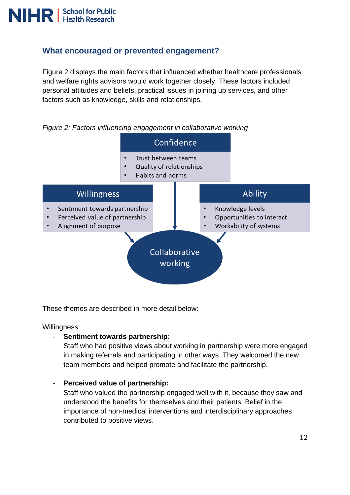# **What encouraged or prevented engagement?**

Figure 2 displays the main factors that influenced whether healthcare professionals and welfare rights advisors would work together closely. These factors included personal attitudes and beliefs, practical issues in joining up services, and other factors such as knowledge, skills and relationships.

## *Figure 2: Factors influencing engagement in collaborative working*



These themes are described in more detail below:

### **Willingness**

### - **Sentiment towards partnership:**

Staff who had positive views about working in partnership were more engaged in making referrals and participating in other ways. They welcomed the new team members and helped promote and facilitate the partnership.

## - **Perceived value of partnership:**

Staff who valued the partnership engaged well with it, because they saw and understood the benefits for themselves and their patients. Belief in the importance of non-medical interventions and interdisciplinary approaches contributed to positive views.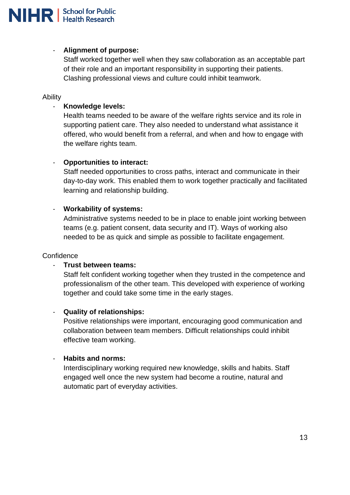## - **Alignment of purpose:**

Staff worked together well when they saw collaboration as an acceptable part of their role and an important responsibility in supporting their patients. Clashing professional views and culture could inhibit teamwork.

Ability

## - **Knowledge levels:**

Health teams needed to be aware of the welfare rights service and its role in supporting patient care. They also needed to understand what assistance it offered, who would benefit from a referral, and when and how to engage with the welfare rights team.

## - **Opportunities to interact:**

Staff needed opportunities to cross paths, interact and communicate in their day-to-day work. This enabled them to work together practically and facilitated learning and relationship building.

## - **Workability of systems:**

Administrative systems needed to be in place to enable joint working between teams (e.g. patient consent, data security and IT). Ways of working also needed to be as quick and simple as possible to facilitate engagement.

### **Confidence**

### - **Trust between teams:**

Staff felt confident working together when they trusted in the competence and professionalism of the other team. This developed with experience of working together and could take some time in the early stages.

## - **Quality of relationships:**

Positive relationships were important, encouraging good communication and collaboration between team members. Difficult relationships could inhibit effective team working.

### - **Habits and norms:**

Interdisciplinary working required new knowledge, skills and habits. Staff engaged well once the new system had become a routine, natural and automatic part of everyday activities.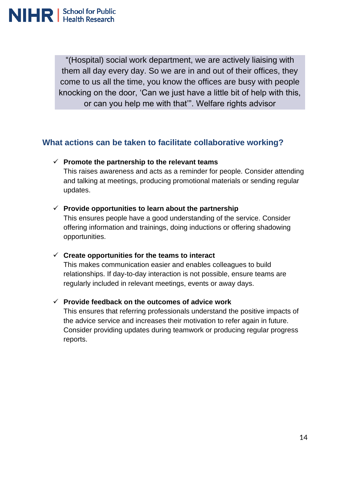"(Hospital) social work department, we are actively liaising with them all day every day. So we are in and out of their offices, they come to us all the time, you know the offices are busy with people knocking on the door, 'Can we just have a little bit of help with this, or can you help me with that'". Welfare rights advisor

# **What actions can be taken to facilitate collaborative working?**

✓ **Promote the partnership to the relevant teams**

This raises awareness and acts as a reminder for people. Consider attending and talking at meetings, producing promotional materials or sending regular updates.

✓ **Provide opportunities to learn about the partnership**

This ensures people have a good understanding of the service. Consider offering information and trainings, doing inductions or offering shadowing opportunities.

✓ **Create opportunities for the teams to interact**

This makes communication easier and enables colleagues to build relationships. If day-to-day interaction is not possible, ensure teams are regularly included in relevant meetings, events or away days.

✓ **Provide feedback on the outcomes of advice work**

This ensures that referring professionals understand the positive impacts of the advice service and increases their motivation to refer again in future. Consider providing updates during teamwork or producing regular progress reports.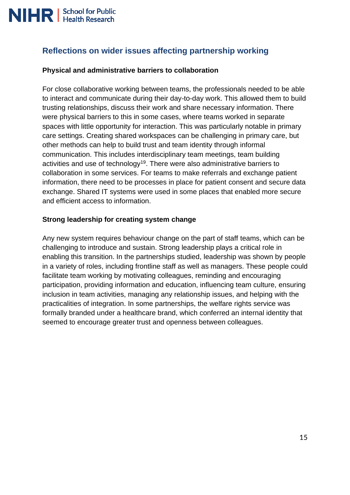

# **Reflections on wider issues affecting partnership working**

#### **Physical and administrative barriers to collaboration**

For close collaborative working between teams, the professionals needed to be able to interact and communicate during their day-to-day work. This allowed them to build trusting relationships, discuss their work and share necessary information. There were physical barriers to this in some cases, where teams worked in separate spaces with little opportunity for interaction. This was particularly notable in primary care settings. Creating shared workspaces can be challenging in primary care, but other methods can help to build trust and team identity through informal communication. This includes interdisciplinary team meetings, team building activities and use of technology<sup>19</sup>. There were also administrative barriers to collaboration in some services. For teams to make referrals and exchange patient information, there need to be processes in place for patient consent and secure data exchange. Shared IT systems were used in some places that enabled more secure and efficient access to information.

#### **Strong leadership for creating system change**

Any new system requires behaviour change on the part of staff teams, which can be challenging to introduce and sustain. Strong leadership plays a critical role in enabling this transition. In the partnerships studied, leadership was shown by people in a variety of roles, including frontline staff as well as managers. These people could facilitate team working by motivating colleagues, reminding and encouraging participation, providing information and education, influencing team culture, ensuring inclusion in team activities, managing any relationship issues, and helping with the practicalities of integration. In some partnerships, the welfare rights service was formally branded under a healthcare brand, which conferred an internal identity that seemed to encourage greater trust and openness between colleagues.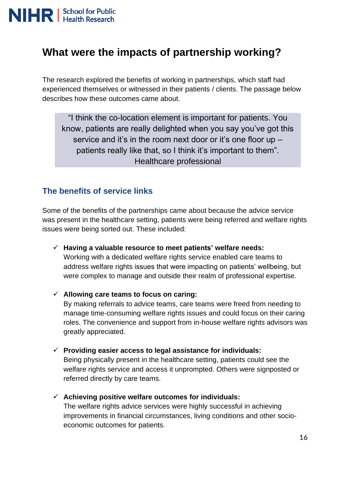

# **What were the impacts of partnership working?**

The research explored the benefits of working in partnerships, which staff had experienced themselves or witnessed in their patients / clients. The passage below describes how these outcomes came about.

"I think the co-location element is important for patients. You know, patients are really delighted when you say you've got this service and it's in the room next door or it's one floor up – patients really like that, so I think it's important to them". Healthcare professional

# **The benefits of service links**

Some of the benefits of the partnerships came about because the advice service was present in the healthcare setting, patients were being referred and welfare rights issues were being sorted out. These included:

- ✓ **Having a valuable resource to meet patients' welfare needs:** Working with a dedicated welfare rights service enabled care teams to address welfare rights issues that were impacting on patients' wellbeing, but were complex to manage and outside their realm of professional expertise.
- ✓ **Allowing care teams to focus on caring:**

By making referrals to advice teams, care teams were freed from needing to manage time-consuming welfare rights issues and could focus on their caring roles. The convenience and support from in-house welfare rights advisors was greatly appreciated.

- ✓ **Providing easier access to legal assistance for individuals:** Being physically present in the healthcare setting, patients could see the welfare rights service and access it unprompted. Others were signposted or referred directly by care teams.
- ✓ **Achieving positive welfare outcomes for individuals:** The welfare rights advice services were highly successful in achieving improvements in financial circumstances, living conditions and other socioeconomic outcomes for patients.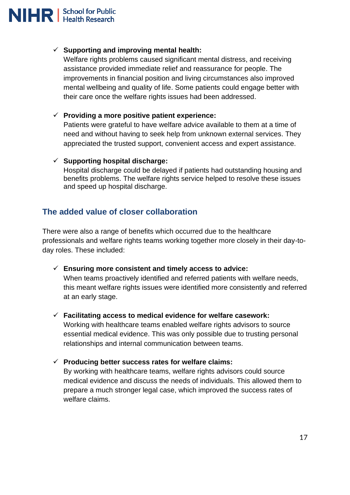

### ✓ **Supporting and improving mental health:**

Welfare rights problems caused significant mental distress, and receiving assistance provided immediate relief and reassurance for people. The improvements in financial position and living circumstances also improved mental wellbeing and quality of life. Some patients could engage better with their care once the welfare rights issues had been addressed.

## ✓ **Providing a more positive patient experience:**

Patients were grateful to have welfare advice available to them at a time of need and without having to seek help from unknown external services. They appreciated the trusted support, convenient access and expert assistance.

#### ✓ **Supporting hospital discharge:**

Hospital discharge could be delayed if patients had outstanding housing and benefits problems. The welfare rights service helped to resolve these issues and speed up hospital discharge.

## **The added value of closer collaboration**

There were also a range of benefits which occurred due to the healthcare professionals and welfare rights teams working together more closely in their day-today roles. These included:

- ✓ **Ensuring more consistent and timely access to advice:** When teams proactively identified and referred patients with welfare needs, this meant welfare rights issues were identified more consistently and referred at an early stage.
- ✓ **Facilitating access to medical evidence for welfare casework:** Working with healthcare teams enabled welfare rights advisors to source essential medical evidence. This was only possible due to trusting personal relationships and internal communication between teams.
- ✓ **Producing better success rates for welfare claims:** By working with healthcare teams, welfare rights advisors could source medical evidence and discuss the needs of individuals. This allowed them to prepare a much stronger legal case, which improved the success rates of welfare claims.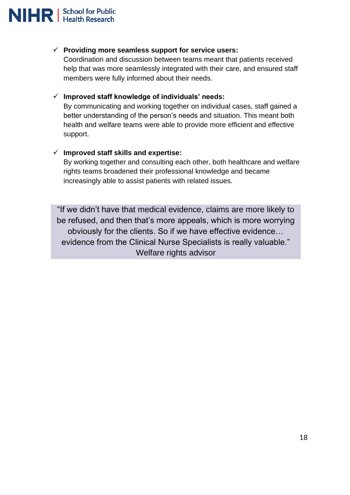

#### ✓ **Providing more seamless support for service users:**

Coordination and discussion between teams meant that patients received help that was more seamlessly integrated with their care, and ensured staff members were fully informed about their needs.

#### ✓ **Improved staff knowledge of individuals' needs:**

By communicating and working together on individual cases, staff gained a better understanding of the person's needs and situation. This meant both health and welfare teams were able to provide more efficient and effective support.

## ✓ **Improved staff skills and expertise:**

By working together and consulting each other, both healthcare and welfare rights teams broadened their professional knowledge and became increasingly able to assist patients with related issues.

"If we didn't have that medical evidence, claims are more likely to be refused, and then that's more appeals, which is more worrying obviously for the clients. So if we have effective evidence… evidence from the Clinical Nurse Specialists is really valuable." Welfare rights advisor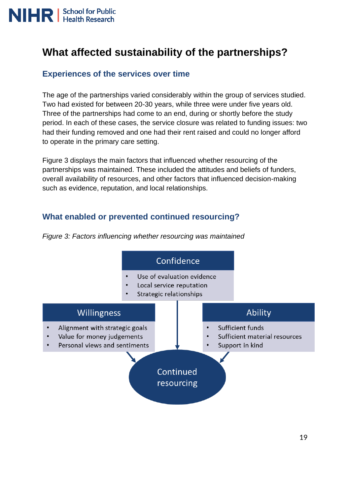

# **What affected sustainability of the partnerships?**

# **Experiences of the services over time**

The age of the partnerships varied considerably within the group of services studied. Two had existed for between 20-30 years, while three were under five years old. Three of the partnerships had come to an end, during or shortly before the study period. In each of these cases, the service closure was related to funding issues: two had their funding removed and one had their rent raised and could no longer afford to operate in the primary care setting.

Figure 3 displays the main factors that influenced whether resourcing of the partnerships was maintained. These included the attitudes and beliefs of funders, overall availability of resources, and other factors that influenced decision-making such as evidence, reputation, and local relationships.

# **What enabled or prevented continued resourcing?**

*Figure 3: Factors influencing whether resourcing was maintained*

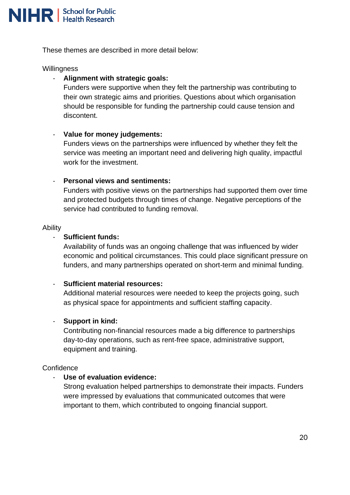

These themes are described in more detail below:

#### **Willingness**

#### - **Alignment with strategic goals:**

Funders were supportive when they felt the partnership was contributing to their own strategic aims and priorities. Questions about which organisation should be responsible for funding the partnership could cause tension and discontent.

### - **Value for money judgements:**

Funders views on the partnerships were influenced by whether they felt the service was meeting an important need and delivering high quality, impactful work for the investment.

#### - **Personal views and sentiments:**

Funders with positive views on the partnerships had supported them over time and protected budgets through times of change. Negative perceptions of the service had contributed to funding removal.

#### Ability

### - **Sufficient funds:**

Availability of funds was an ongoing challenge that was influenced by wider economic and political circumstances. This could place significant pressure on funders, and many partnerships operated on short-term and minimal funding.

### - **Sufficient material resources:**

Additional material resources were needed to keep the projects going, such as physical space for appointments and sufficient staffing capacity.

### - **Support in kind:**

Contributing non-financial resources made a big difference to partnerships day-to-day operations, such as rent-free space, administrative support, equipment and training.

### **Confidence**

### Use of evaluation evidence:

Strong evaluation helped partnerships to demonstrate their impacts. Funders were impressed by evaluations that communicated outcomes that were important to them, which contributed to ongoing financial support.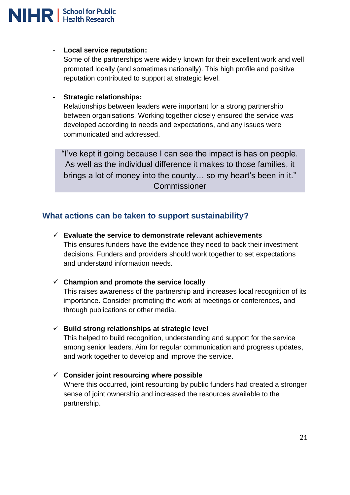

#### - **Local service reputation:**

Some of the partnerships were widely known for their excellent work and well promoted locally (and sometimes nationally). This high profile and positive reputation contributed to support at strategic level.

#### - **Strategic relationships:**

Relationships between leaders were important for a strong partnership between organisations. Working together closely ensured the service was developed according to needs and expectations, and any issues were communicated and addressed.

"I've kept it going because I can see the impact is has on people. As well as the individual difference it makes to those families, it brings a lot of money into the county… so my heart's been in it." **Commissioner** 

## **What actions can be taken to support sustainability?**

✓ **Evaluate the service to demonstrate relevant achievements**

This ensures funders have the evidence they need to back their investment decisions. Funders and providers should work together to set expectations and understand information needs.

### ✓ **Champion and promote the service locally**

This raises awareness of the partnership and increases local recognition of its importance. Consider promoting the work at meetings or conferences, and through publications or other media.

#### ✓ **Build strong relationships at strategic level**

This helped to build recognition, understanding and support for the service among senior leaders. Aim for regular communication and progress updates, and work together to develop and improve the service.

#### ✓ **Consider joint resourcing where possible**

Where this occurred, joint resourcing by public funders had created a stronger sense of joint ownership and increased the resources available to the partnership.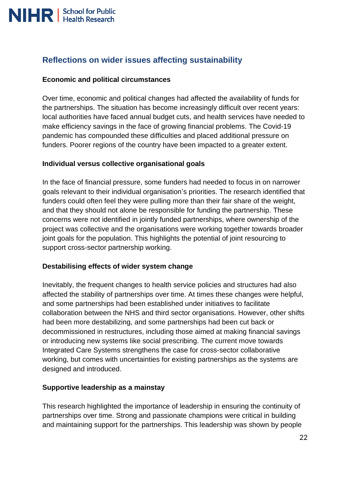

# **Reflections on wider issues affecting sustainability**

### **Economic and political circumstances**

Over time, economic and political changes had affected the availability of funds for the partnerships. The situation has become increasingly difficult over recent years: local authorities have faced annual budget cuts, and health services have needed to make efficiency savings in the face of growing financial problems. The Covid-19 pandemic has compounded these difficulties and placed additional pressure on funders. Poorer regions of the country have been impacted to a greater extent.

## **Individual versus collective organisational goals**

In the face of financial pressure, some funders had needed to focus in on narrower goals relevant to their individual organisation's priorities. The research identified that funders could often feel they were pulling more than their fair share of the weight, and that they should not alone be responsible for funding the partnership. These concerns were not identified in jointly funded partnerships, where ownership of the project was collective and the organisations were working together towards broader joint goals for the population. This highlights the potential of joint resourcing to support cross-sector partnership working.

### **Destabilising effects of wider system change**

Inevitably, the frequent changes to health service policies and structures had also affected the stability of partnerships over time. At times these changes were helpful, and some partnerships had been established under initiatives to facilitate collaboration between the NHS and third sector organisations. However, other shifts had been more destabilizing, and some partnerships had been cut back or decommissioned in restructures, including those aimed at making financial savings or introducing new systems like social prescribing. The current move towards Integrated Care Systems strengthens the case for cross-sector collaborative working, but comes with uncertainties for existing partnerships as the systems are designed and introduced.

### **Supportive leadership as a mainstay**

This research highlighted the importance of leadership in ensuring the continuity of partnerships over time. Strong and passionate champions were critical in building and maintaining support for the partnerships. This leadership was shown by people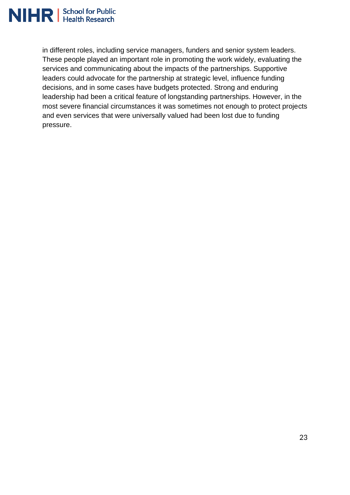

in different roles, including service managers, funders and senior system leaders. These people played an important role in promoting the work widely, evaluating the services and communicating about the impacts of the partnerships. Supportive leaders could advocate for the partnership at strategic level, influence funding decisions, and in some cases have budgets protected. Strong and enduring leadership had been a critical feature of longstanding partnerships. However, in the most severe financial circumstances it was sometimes not enough to protect projects and even services that were universally valued had been lost due to funding pressure.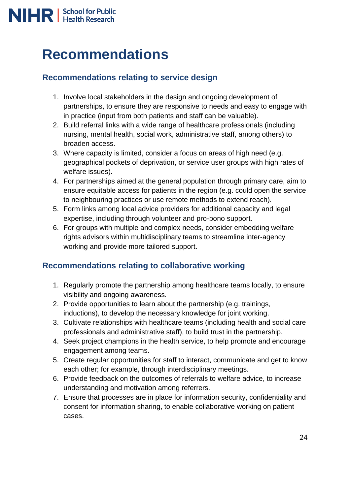

# **Recommendations**

# **Recommendations relating to service design**

- 1. Involve local stakeholders in the design and ongoing development of partnerships, to ensure they are responsive to needs and easy to engage with in practice (input from both patients and staff can be valuable).
- 2. Build referral links with a wide range of healthcare professionals (including nursing, mental health, social work, administrative staff, among others) to broaden access.
- 3. Where capacity is limited, consider a focus on areas of high need (e.g. geographical pockets of deprivation, or service user groups with high rates of welfare issues).
- 4. For partnerships aimed at the general population through primary care, aim to ensure equitable access for patients in the region (e.g. could open the service to neighbouring practices or use remote methods to extend reach).
- 5. Form links among local advice providers for additional capacity and legal expertise, including through volunteer and pro-bono support.
- 6. For groups with multiple and complex needs, consider embedding welfare rights advisors within multidisciplinary teams to streamline inter-agency working and provide more tailored support.

# **Recommendations relating to collaborative working**

- 1. Regularly promote the partnership among healthcare teams locally, to ensure visibility and ongoing awareness.
- 2. Provide opportunities to learn about the partnership (e.g. trainings, inductions), to develop the necessary knowledge for joint working.
- 3. Cultivate relationships with healthcare teams (including health and social care professionals and administrative staff), to build trust in the partnership.
- 4. Seek project champions in the health service, to help promote and encourage engagement among teams.
- 5. Create regular opportunities for staff to interact, communicate and get to know each other; for example, through interdisciplinary meetings.
- 6. Provide feedback on the outcomes of referrals to welfare advice, to increase understanding and motivation among referrers.
- 7. Ensure that processes are in place for information security, confidentiality and consent for information sharing, to enable collaborative working on patient cases.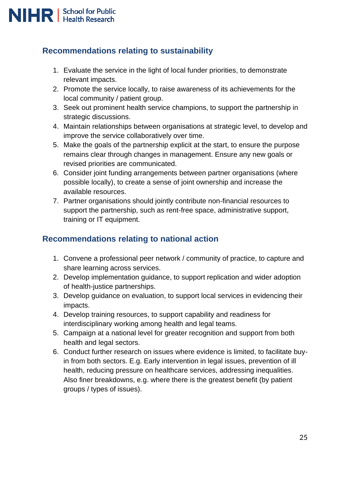

# **Recommendations relating to sustainability**

- 1. Evaluate the service in the light of local funder priorities, to demonstrate relevant impacts.
- 2. Promote the service locally, to raise awareness of its achievements for the local community / patient group.
- 3. Seek out prominent health service champions, to support the partnership in strategic discussions.
- 4. Maintain relationships between organisations at strategic level, to develop and improve the service collaboratively over time.
- 5. Make the goals of the partnership explicit at the start, to ensure the purpose remains clear through changes in management. Ensure any new goals or revised priorities are communicated.
- 6. Consider joint funding arrangements between partner organisations (where possible locally), to create a sense of joint ownership and increase the available resources.
- 7. Partner organisations should jointly contribute non-financial resources to support the partnership, such as rent-free space, administrative support, training or IT equipment.

# **Recommendations relating to national action**

- 1. Convene a professional peer network / community of practice, to capture and share learning across services.
- 2. Develop implementation guidance, to support replication and wider adoption of health-justice partnerships.
- 3. Develop guidance on evaluation, to support local services in evidencing their impacts.
- 4. Develop training resources, to support capability and readiness for interdisciplinary working among health and legal teams.
- 5. Campaign at a national level for greater recognition and support from both health and legal sectors.
- 6. Conduct further research on issues where evidence is limited, to facilitate buyin from both sectors. E.g. Early intervention in legal issues, prevention of ill health, reducing pressure on healthcare services, addressing inequalities. Also finer breakdowns, e.g. where there is the greatest benefit (by patient groups / types of issues).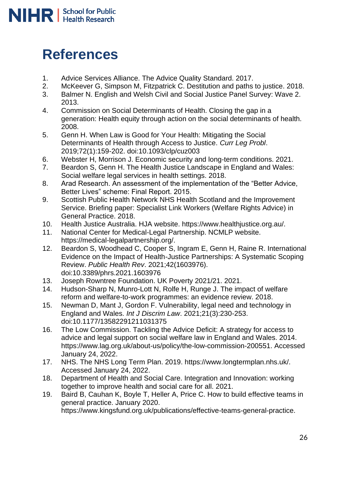

# **References**

- 1. Advice Services Alliance. The Advice Quality Standard. 2017.
- 2. McKeever G, Simpson M, Fitzpatrick C. Destitution and paths to justice. 2018.
- 3. Balmer N. English and Welsh Civil and Social Justice Panel Survey: Wave 2. 2013.
- 4. Commission on Social Determinants of Health. Closing the gap in a generation: Health equity through action on the social determinants of health. 2008.
- 5. Genn H. When Law is Good for Your Health: Mitigating the Social Determinants of Health through Access to Justice. *Curr Leg Probl*. 2019;72(1):159-202. doi:10.1093/clp/cuz003
- 6. Webster H, Morrison J. Economic security and long-term conditions. 2021.
- 7. Beardon S, Genn H. The Health Justice Landscape in England and Wales: Social welfare legal services in health settings. 2018.
- 8. Arad Research. An assessment of the implementation of the "Better Advice, Better Lives" scheme: Final Report. 2015.
- 9. Scottish Public Health Network NHS Health Scotland and the Improvement Service. Briefing paper: Specialist Link Workers (Welfare Rights Advice) in General Practice. 2018.
- 10. Health Justice Australia. HJA website. https://www.healthjustice.org.au/.
- 11. National Center for Medical-Legal Partnership. NCMLP website. https://medical-legalpartnership.org/.
- 12. Beardon S, Woodhead C, Cooper S, Ingram E, Genn H, Raine R. International Evidence on the Impact of Health-Justice Partnerships: A Systematic Scoping Review. *Public Health Rev*. 2021;42(1603976). doi:10.3389/phrs.2021.1603976
- 13. Joseph Rowntree Foundation. UK Poverty 2021/21. 2021.
- 14. Hudson-Sharp N, Munro-Lott N, Rolfe H, Runge J. The impact of welfare reform and welfare-to-work programmes: an evidence review. 2018.
- 15. Newman D, Mant J, Gordon F. Vulnerability, legal need and technology in England and Wales. *Int J Discrim Law*. 2021;21(3):230-253. doi:10.1177/13582291211031375
- 16. The Low Commission. Tackling the Advice Deficit: A strategy for access to advice and legal support on social welfare law in England and Wales. 2014. https://www.lag.org.uk/about-us/policy/the-low-commission-200551. Accessed January 24, 2022.
- 17. NHS. The NHS Long Term Plan. 2019. https://www.longtermplan.nhs.uk/. Accessed January 24, 2022.
- 18. Department of Health and Social Care. Integration and Innovation: working together to improve health and social care for all. 2021.
- 19. Baird B, Cauhan K, Boyle T, Heller A, Price C. How to build effective teams in general practice. January 2020. https://www.kingsfund.org.uk/publications/effective-teams-general-practice.